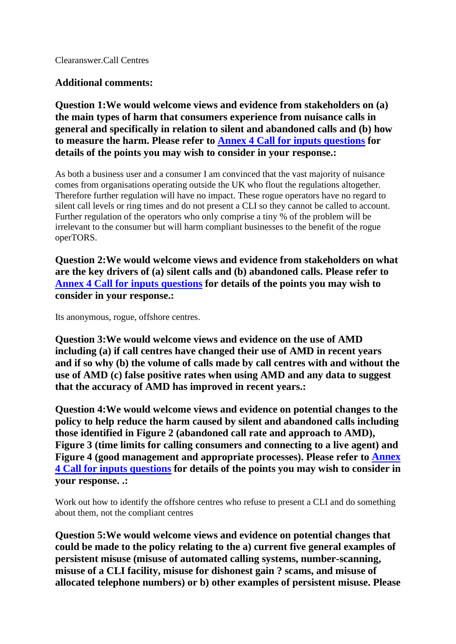Clearanswer.Call Centres

## **Additional comments:**

**Question 1:We would welcome views and evidence from stakeholders on (a) the main types of harm that consumers experience from nuisance calls in general and specifically in relation to silent and abandoned calls and (b) how to measure the harm. Please refer to Annex 4 Call for inputs questions for details of the points you may wish to consider in your response.:**

As both a business user and a consumer I am convinced that the vast majority of nuisance comes from organisations operating outside the UK who flout the regulations altogether. Therefore further regulation will have no impact. These rogue operators have no regard to silent call levels or ring times and do not present a CLI so they cannot be called to account. Further regulation of the operators who only comprise a tiny % of the problem will be irrelevant to the consumer but will harm compliant businesses to the benefit of the rogue operTORS.

**Question 2:We would welcome views and evidence from stakeholders on what are the key drivers of (a) silent calls and (b) abandoned calls. Please refer to Annex 4 Call for inputs questions for details of the points you may wish to consider in your response.:**

Its anonymous, rogue, offshore centres.

**Question 3:We would welcome views and evidence on the use of AMD including (a) if call centres have changed their use of AMD in recent years and if so why (b) the volume of calls made by call centres with and without the use of AMD (c) false positive rates when using AMD and any data to suggest that the accuracy of AMD has improved in recent years.:**

**Question 4:We would welcome views and evidence on potential changes to the policy to help reduce the harm caused by silent and abandoned calls including those identified in Figure 2 (abandoned call rate and approach to AMD), Figure 3 (time limits for calling consumers and connecting to a live agent) and Figure 4 (good management and appropriate processes). Please refer to Annex 4 Call for inputs questions for details of the points you may wish to consider in your response. .:**

Work out how to identify the offshore centres who refuse to present a CLI and do something about them, not the compliant centres

**Question 5:We would welcome views and evidence on potential changes that could be made to the policy relating to the a) current five general examples of persistent misuse (misuse of automated calling systems, number-scanning, misuse of a CLI facility, misuse for dishonest gain ? scams, and misuse of allocated telephone numbers) or b) other examples of persistent misuse. Please**